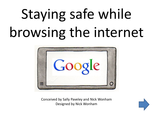# Staying safe while browsing the internet



Conceived by Sally Paveley and Nick Wonham Designed by Nick Wonham

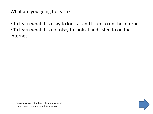What are you going to learn?

- To learn what it is okay to look at and listen to on the internet
- To learn what it is not okay to look at and listen to on the internet

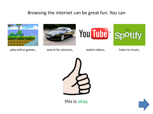## Browsing the internet can be great fun. You can









play online games, search for pictures, watch videos, listen to music,



this is okay.

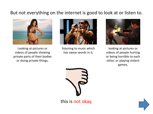## But not everything on the internet is good to look at or listen to.



Looking at pictures or videos of people showing private parts of their bodies or doing private things,



listening to music which has swear words in it,



looking at pictures or videos of people hurting or being horrible to each other, or playing violent games,



this is not okay.

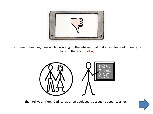

If you see or hear anything while browsing on the internet that makes you feel sad or angry, or that you think is not okay,



then tell your Mum, Dad, carer, or an adult you trust such as your teacher.

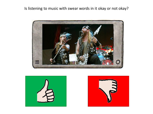Is listening to music with swear words in it okay or not okay?





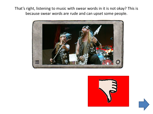That's right, listening to music with swear words in it is not okay? This is because swear words are rude and can upset some people.





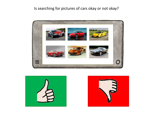### Is searching for pictures of cars okay or not okay?





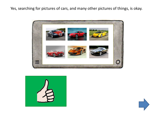Yes, searching for pictures of cars, and many other pictures of things, is okay.





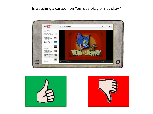#### Is watching a cartoon on YouTube okay or not okay?





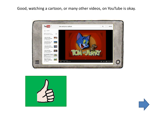#### Good, watching a cartoon, or many other videos, on YouTube is okay.





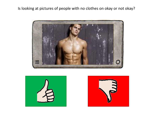Is looking at pictures of people with no clothes on okay or not okay?





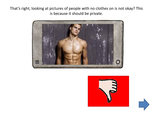That's right, looking at pictures of people with no clothes on is not okay? This is because it should be private.





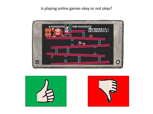#### Is playing online games okay or not okay?





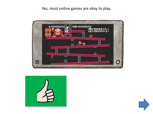#### Yes, most online games are okay to play.





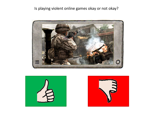### Is playing violent online games okay or not okay?





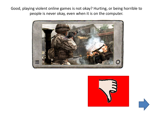Good, playing violent online games is not okay? Hurting, or being horrible to people is never okay, even when it is on the computer.





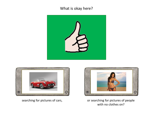#### What is okay here?

<span id="page-17-0"></span>





[searching for pictures of cars,](#page-18-0) or searching for pictures of people with no clothes on?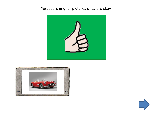## <span id="page-18-0"></span>Yes, searching for pictures of cars is okay.





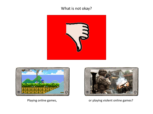## What is not okay?

<span id="page-19-0"></span>





[Playing online games,](#page-19-0) and the same [or playing violent online games?](#page-20-0)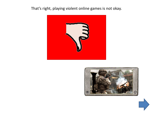### <span id="page-20-0"></span>That's right, playing violent online games is not okay.